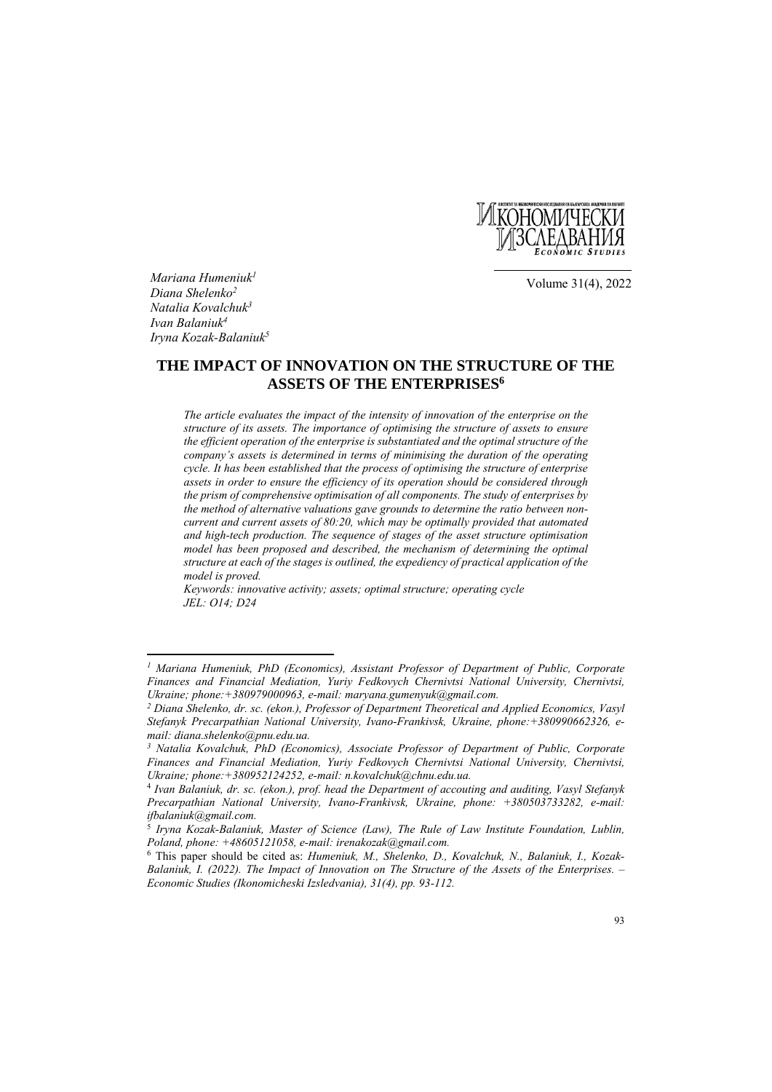

Volume 31(4), 2022

*Mariana Humeniuk1 Dіаna Shelenko2 Natalia Kovalchuk3 Ivan Balaniuk4 Iryna Kozak-Balaniuk5*

 $\overline{\phantom{a}}$ 

# **THE IMPACT OF INNOVATION ON THE STRUCTURE OF THE ASSETS OF THE ENTERPRISES6**

*The article evaluates the impact of the intensity of innovation of the enterprise on the structure of its assets. The importance of optimising the structure of assets to ensure the efficient operation of the enterprise is substantiated and the optimal structure of the company's assets is determined in terms of minimising the duration of the operating cycle. It has been established that the process of optimising the structure of enterprise assets in order to ensure the efficiency of its operation should be considered through the prism of comprehensive optimisation of all components. The study of enterprises by the method of alternative valuations gave grounds to determine the ratio between noncurrent and current assets of 80:20, which may be optimally provided that automated and high-tech production. The sequence of stages of the asset structure optimisation model has been proposed and described, the mechanism of determining the optimal structure at each of the stages is outlined, the expediency of practical application of the model is proved.* 

*Keywords: innovative activity; assets; optimal structure; operating cycle JEL: O14; D24*

*<sup>1</sup> Mariana Humeniuk, PhD (Economics), Assistant Professor of Department of Public, Corporate Finances and Financial Mediation, Yuriy Fedkovych Chernivtsi National University, Chernivtsi, Ukraine; phone:+380979000963, e-mail: maryana.gumenyuk@gmail.com.* 

*<sup>2</sup> Dіаna Shelenko, dr. sc. (ekon.), Professor of Department Theoretical and Applied Economics, Vasyl Stefanyk Precarpathian National University, Ivano-Frankivsk, Ukraine, phone:+380990662326, email: diana.shelenko@pnu.edu.ua.* 

*<sup>3</sup> Natalia Kovalchuk, PhD (Economics), Associate Professor of Department of Public, Corporate Finances and Financial Mediation, Yuriy Fedkovych Chernivtsi National University, Chernivtsi, Ukraine; phone:+380952124252, e-mail: n.kovalchuk@chnu.edu.ua.*

<sup>4</sup> *Ivan Balaniuk, dr. sc. (ekon.), prof. head the Department of accouting and auditing, Vasyl Stefanyk Precarpathian National University, Ivano-Frankivsk, Ukraine, phone: +380503733282, e-mail: ifbalaniuk@gmail.com.* 

<sup>5</sup> *Iryna Kozak-Balaniuk, Master of Science (Law), The Rule of Law Institute Foundation, Lublin, Poland, phone: +48605121058, e-mail: irenakozak@gmail.com.* 

<sup>6</sup> This paper should be cited as: *Humeniuk, M., Shelenko, D., Kovalchuk, N., Balaniuk, I., Kozak-Balaniuk, I. (2022). The Impact of Innovation on The Structure of the Assets of the Enterprises. – Economic Studies (Ikonomicheski Izsledvania), 31(4), pp. 93-112.*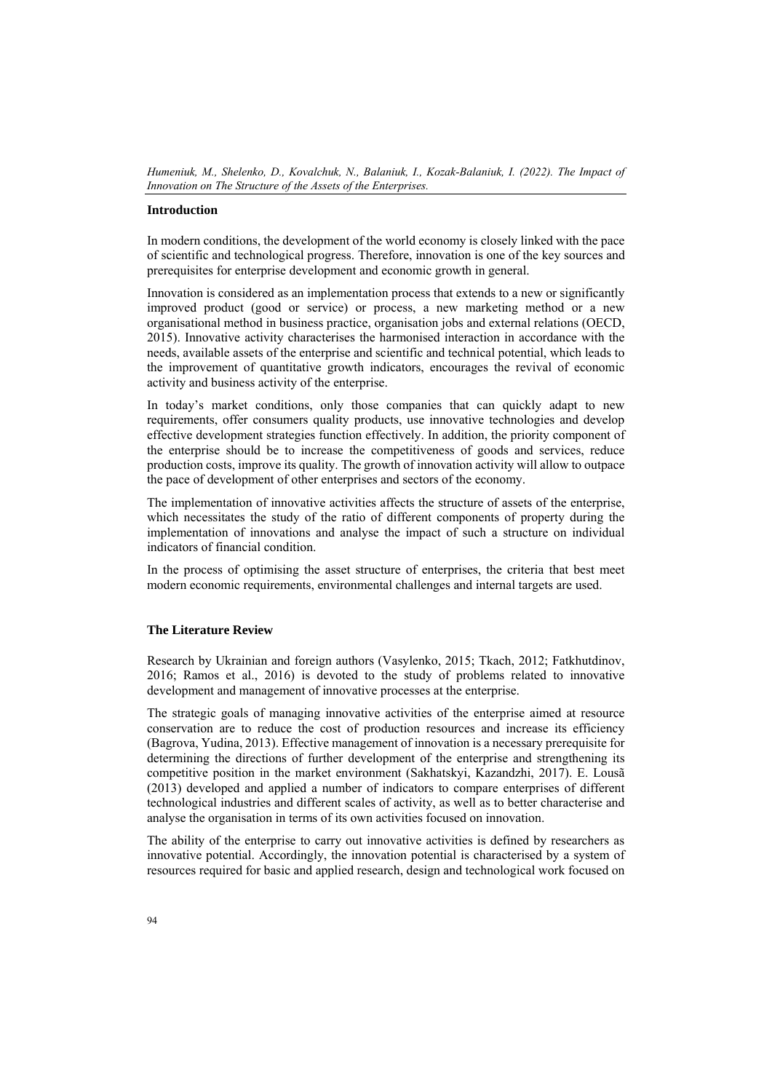#### **Introduction**

In modern conditions, the development of the world economy is closely linked with the pace of scientific and technological progress. Therefore, innovation is one of the key sources and prerequisites for enterprise development and economic growth in general.

Innovation is considered as an implementation process that extends to a new or significantly improved product (good or service) or process, a new marketing method or a new organisational method in business practice, organisation jobs and external relations (OECD, 2015). Innovative activity characterises the harmonised interaction in accordance with the needs, available assets of the enterprise and scientific and technical potential, which leads to the improvement of quantitative growth indicators, encourages the revival of economic activity and business activity of the enterprise.

In today's market conditions, only those companies that can quickly adapt to new requirements, offer consumers quality products, use innovative technologies and develop effective development strategies function effectively. In addition, the priority component of the enterprise should be to increase the competitiveness of goods and services, reduce production costs, improve its quality. The growth of innovation activity will allow to outpace the pace of development of other enterprises and sectors of the economy.

The implementation of innovative activities affects the structure of assets of the enterprise, which necessitates the study of the ratio of different components of property during the implementation of innovations and analyse the impact of such a structure on individual indicators of financial condition.

In the process of optimising the asset structure of enterprises, the criteria that best meet modern economic requirements, environmental challenges and internal targets are used.

# **The Literature Review**

Research by Ukrainian and foreign authors (Vasylenko, 2015; Tkach, 2012; Fatkhutdinov, 2016; Ramos et al., 2016) is devoted to the study of problems related to innovative development and management of innovative processes at the enterprise.

The strategic goals of managing innovative activities of the enterprise aimed at resource conservation are to reduce the cost of production resources and increase its efficiency (Bagrova, Yudina, 2013). Effective management of innovation is a necessary prerequisite for determining the directions of further development of the enterprise and strengthening its competitive position in the market environment (Sakhatskyi, Kazandzhi, 2017). E. Lousã (2013) developed and applied a number of indicators to compare enterprises of different technological industries and different scales of activity, as well as to better characterise and analyse the organisation in terms of its own activities focused on innovation.

The ability of the enterprise to carry out innovative activities is defined by researchers as innovative potential. Accordingly, the innovation potential is characterised by a system of resources required for basic and applied research, design and technological work focused on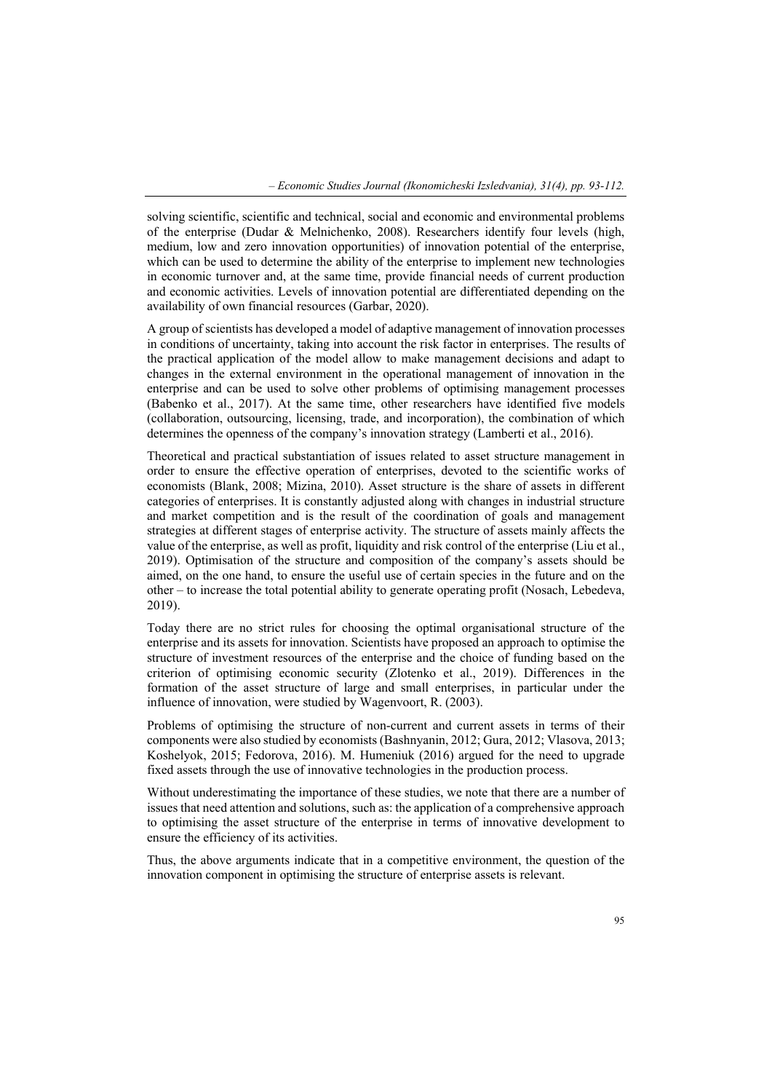solving scientific, scientific and technical, social and economic and environmental problems of the enterprise (Dudar & Melnichenko, 2008). Researchers identify four levels (high, medium, low and zero innovation opportunities) of innovation potential of the enterprise, which can be used to determine the ability of the enterprise to implement new technologies in economic turnover and, at the same time, provide financial needs of current production and economic activities. Levels of innovation potential are differentiated depending on the availability of own financial resources (Garbar, 2020).

A group of scientists has developed a model of adaptive management of innovation processes in conditions of uncertainty, taking into account the risk factor in enterprises. The results of the practical application of the model allow to make management decisions and adapt to changes in the external environment in the operational management of innovation in the enterprise and can be used to solve other problems of optimising management processes (Babenko et al., 2017). At the same time, other researchers have identified five models (collaboration, outsourcing, licensing, trade, and incorporation), the combination of which determines the openness of the company's innovation strategy (Lamberti et al., 2016).

Theoretical and practical substantiation of issues related to asset structure management in order to ensure the effective operation of enterprises, devoted to the scientific works of economists (Blank, 2008; Mizina, 2010). Asset structure is the share of assets in different categories of enterprises. It is constantly adjusted along with changes in industrial structure and market competition and is the result of the coordination of goals and management strategies at different stages of enterprise activity. The structure of assets mainly affects the value of the enterprise, as well as profit, liquidity and risk control of the enterprise (Liu et al., 2019). Optimisation of the structure and composition of the company's assets should be aimed, on the one hand, to ensure the useful use of certain species in the future and on the other – to increase the total potential ability to generate operating profit (Nosach, Lebedeva, 2019).

Today there are no strict rules for choosing the optimal organisational structure of the enterprise and its assets for innovation. Scientists have proposed an approach to optimise the structure of investment resources of the enterprise and the choice of funding based on the criterion of optimising economic security (Zlotenko et al., 2019). Differences in the formation of the asset structure of large and small enterprises, in particular under the influence of innovation, were studied by Wagenvoort, R. (2003).

Problems of optimising the structure of non-current and current assets in terms of their components were also studied by economists (Bashnyanin, 2012; Gura, 2012; Vlasova, 2013; Koshelyok, 2015; Fedorova, 2016). M. Humeniuk (2016) argued for the need to upgrade fixed assets through the use of innovative technologies in the production process.

Without underestimating the importance of these studies, we note that there are a number of issues that need attention and solutions, such as: the application of a comprehensive approach to optimising the asset structure of the enterprise in terms of innovative development to ensure the efficiency of its activities.

Thus, the above arguments indicate that in a competitive environment, the question of the innovation component in optimising the structure of enterprise assets is relevant.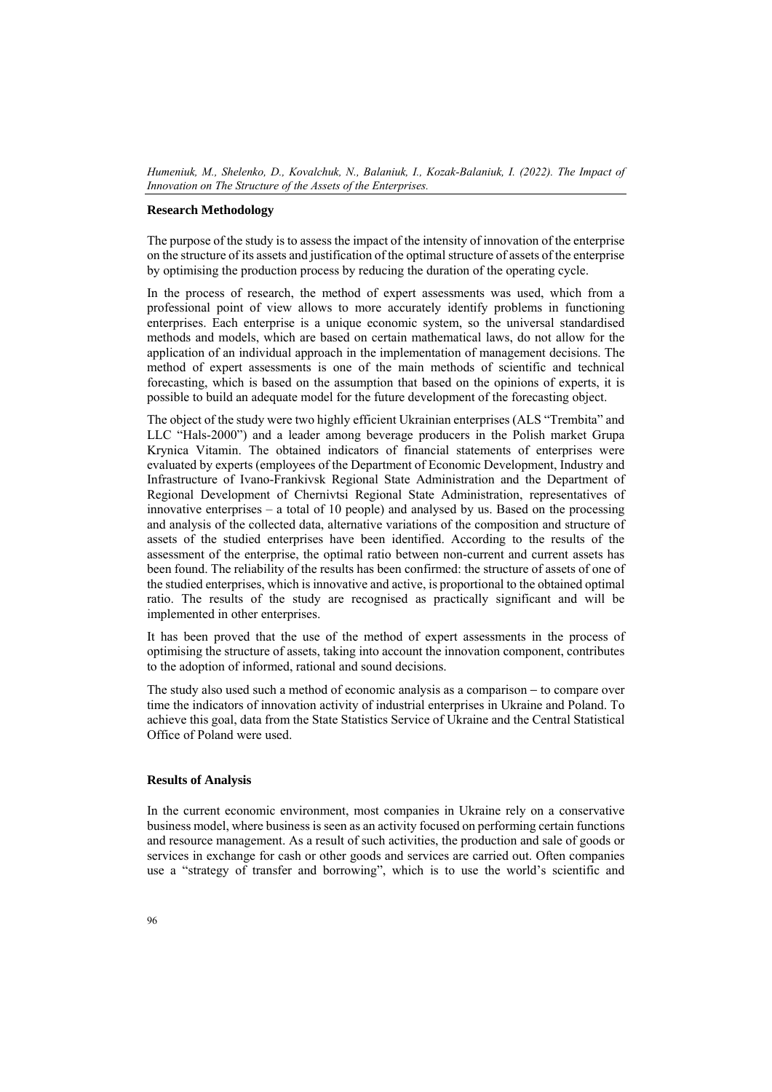## **Research Methodology**

The purpose of the study is to assess the impact of the intensity of innovation of the enterprise on the structure of its assets and justification of the optimal structure of assets of the enterprise by optimising the production process by reducing the duration of the operating cycle.

In the process of research, the method of expert assessments was used, which from a professional point of view allows to more accurately identify problems in functioning enterprises. Each enterprise is a unique economic system, so the universal standardised methods and models, which are based on certain mathematical laws, do not allow for the application of an individual approach in the implementation of management decisions. The method of expert assessments is one of the main methods of scientific and technical forecasting, which is based on the assumption that based on the opinions of experts, it is possible to build an adequate model for the future development of the forecasting object.

The object of the study were two highly efficient Ukrainian enterprises (ALS "Trembita" and LLC "Hals-2000") and a leader among beverage producers in the Polish market Grupa Krynica Vitamin. The obtained indicators of financial statements of enterprises were evaluated by experts (employees of the Department of Economic Development, Industry and Infrastructure of Ivano-Frankivsk Regional State Administration and the Department of Regional Development of Chernivtsi Regional State Administration, representatives of innovative enterprises – a total of 10 people) and analysed by us. Based on the processing and analysis of the collected data, alternative variations of the composition and structure of assets of the studied enterprises have been identified. According to the results of the assessment of the enterprise, the optimal ratio between non-current and current assets has been found. The reliability of the results has been confirmed: the structure of assets of one of the studied enterprises, which is innovative and active, is proportional to the obtained optimal ratio. The results of the study are recognised as practically significant and will be implemented in other enterprises.

It has been proved that the use of the method of expert assessments in the process of optimising the structure of assets, taking into account the innovation component, contributes to the adoption of informed, rational and sound decisions.

The study also used such a method of economic analysis as a comparison − to compare over time the indicators of innovation activity of industrial enterprises in Ukraine and Poland. To achieve this goal, data from the State Statistics Service of Ukraine and the Central Statistical Office of Poland were used.

## **Results of Analysis**

In the current economic environment, most companies in Ukraine rely on a conservative business model, where business is seen as an activity focused on performing certain functions and resource management. As a result of such activities, the production and sale of goods or services in exchange for cash or other goods and services are carried out. Often companies use a "strategy of transfer and borrowing", which is to use the world's scientific and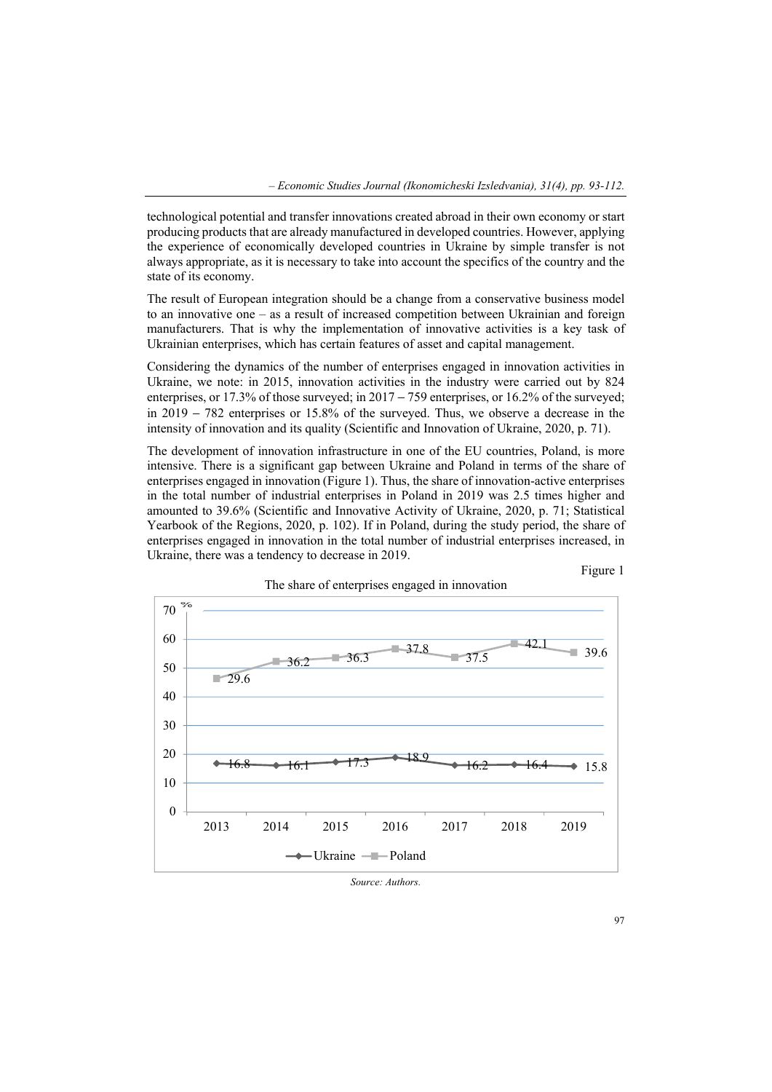technological potential and transfer innovations created abroad in their own economy or start producing products that are already manufactured in developed countries. However, applying the experience of economically developed countries in Ukraine by simple transfer is not always appropriate, as it is necessary to take into account the specifics of the country and the state of its economy.

The result of European integration should be a change from a conservative business model to an innovative one – as a result of increased competition between Ukrainian and foreign manufacturers. That is why the implementation of innovative activities is a key task of Ukrainian enterprises, which has certain features of asset and capital management.

Considering the dynamics of the number of enterprises engaged in innovation activities in Ukraine, we note: in 2015, innovation activities in the industry were carried out by 824 enterprises, or 17.3% of those surveyed; in 2017 − 759 enterprises, or 16.2% of the surveyed; in 2019 − 782 enterprises or 15.8% of the surveyed. Thus, we observe a decrease in the intensity of innovation and its quality (Scientific and Innovation of Ukraine, 2020, p. 71).

The development of innovation infrastructure in one of the EU countries, Poland, is more intensive. There is a significant gap between Ukraine and Poland in terms of the share of enterprises engaged in innovation (Figure 1). Thus, the share of innovation-active enterprises in the total number of industrial enterprises in Poland in 2019 was 2.5 times higher and amounted to 39.6% (Scientific and Innovative Activity of Ukraine, 2020, p. 71; Statistical Yearbook of the Regions, 2020, p. 102). If in Poland, during the study period, the share of enterprises engaged in innovation in the total number of industrial enterprises increased, in Ukraine, there was a tendency to decrease in 2019.



The share of enterprises engaged in innovation

*Source: Authors.* 

Figure 1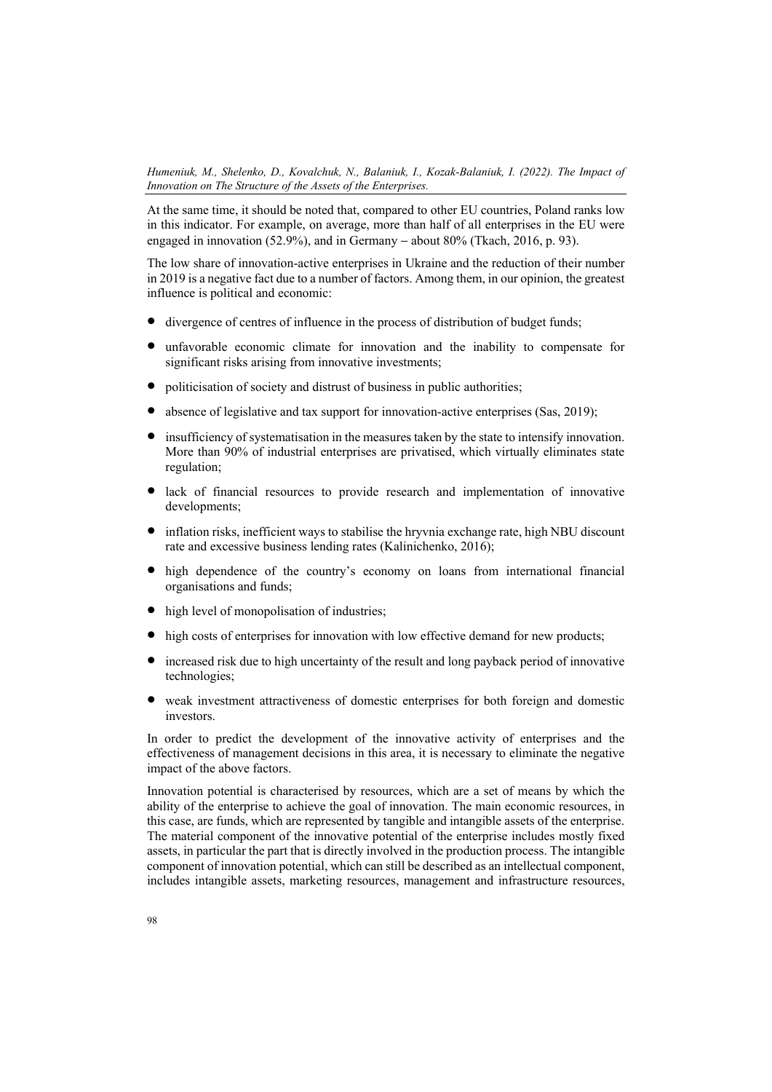At the same time, it should be noted that, compared to other EU countries, Poland ranks low in this indicator. For example, on average, more than half of all enterprises in the EU were engaged in innovation (52.9%), and in Germany – about  $80\%$  (Tkach, 2016, p. 93).

The low share of innovation-active enterprises in Ukraine and the reduction of their number in 2019 is a negative fact due to a number of factors. Among them, in our opinion, the greatest influence is political and economic:

- divergence of centres of influence in the process of distribution of budget funds;
- unfavorable economic climate for innovation and the inability to compensate for significant risks arising from innovative investments;
- politicisation of society and distrust of business in public authorities;
- absence of legislative and tax support for innovation-active enterprises (Sas, 2019);
- insufficiency of systematisation in the measures taken by the state to intensify innovation. More than 90% of industrial enterprises are privatised, which virtually eliminates state regulation;
- lack of financial resources to provide research and implementation of innovative developments:
- inflation risks, inefficient ways to stabilise the hryvnia exchange rate, high NBU discount rate and excessive business lending rates (Kalinichenko, 2016);
- high dependence of the country's economy on loans from international financial organisations and funds;
- high level of monopolisation of industries;
- high costs of enterprises for innovation with low effective demand for new products;
- increased risk due to high uncertainty of the result and long payback period of innovative technologies;
- weak investment attractiveness of domestic enterprises for both foreign and domestic investors.

In order to predict the development of the innovative activity of enterprises and the effectiveness of management decisions in this area, it is necessary to eliminate the negative impact of the above factors.

Innovation potential is characterised by resources, which are a set of means by which the ability of the enterprise to achieve the goal of innovation. The main economic resources, in this case, are funds, which are represented by tangible and intangible assets of the enterprise. The material component of the innovative potential of the enterprise includes mostly fixed assets, in particular the part that is directly involved in the production process. The intangible component of innovation potential, which can still be described as an intellectual component, includes intangible assets, marketing resources, management and infrastructure resources,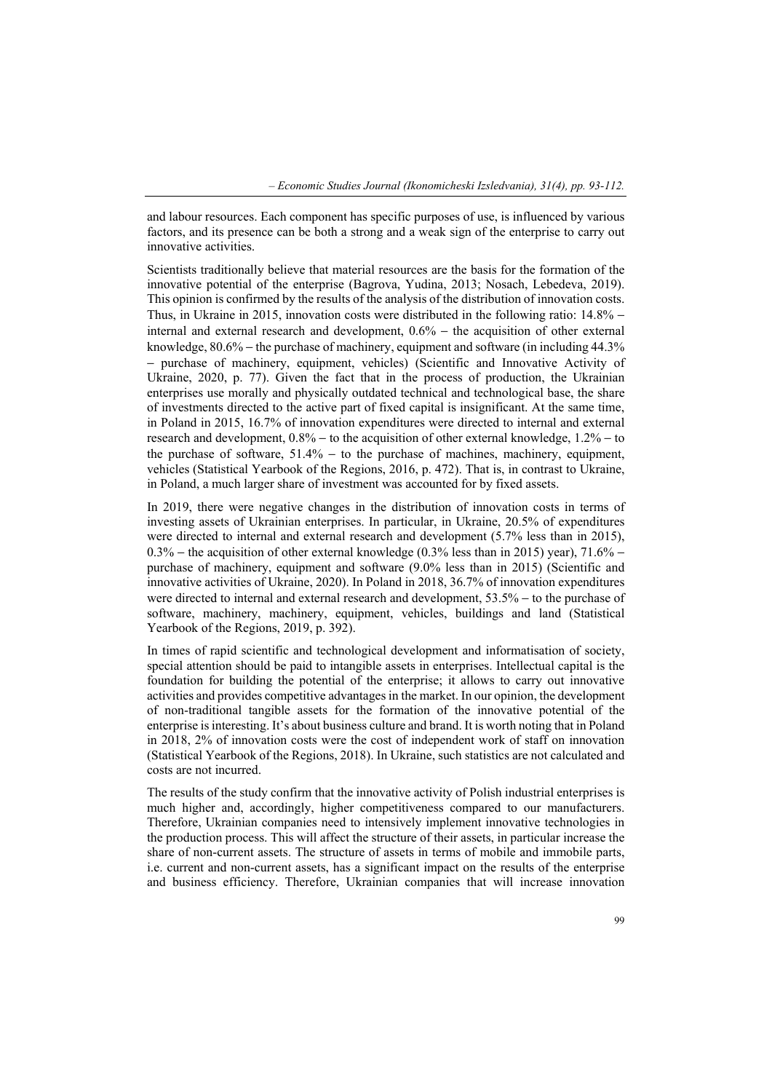and labour resources. Each component has specific purposes of use, is influenced by various factors, and its presence can be both a strong and a weak sign of the enterprise to carry out innovative activities.

Scientists traditionally believe that material resources are the basis for the formation of the innovative potential of the enterprise (Bagrova, Yudina, 2013; Nosach, Lebedeva, 2019). This opinion is confirmed by the results of the analysis of the distribution of innovation costs. Thus, in Ukraine in 2015, innovation costs were distributed in the following ratio: 14.8% − internal and external research and development, 0.6% − the acquisition of other external knowledge, 80.6% − the purchase of machinery, equipment and software (in including 44.3% − purchase of machinery, equipment, vehicles) (Scientific and Innovative Activity of Ukraine, 2020, p. 77). Given the fact that in the process of production, the Ukrainian enterprises use morally and physically outdated technical and technological base, the share of investments directed to the active part of fixed capital is insignificant. At the same time, in Poland in 2015, 16.7% of innovation expenditures were directed to internal and external research and development, 0.8% − to the acquisition of other external knowledge, 1.2% − to the purchase of software, 51.4% − to the purchase of machines, machinery, equipment, vehicles (Statistical Yearbook of the Regions, 2016, p. 472). That is, in contrast to Ukraine, in Poland, a much larger share of investment was accounted for by fixed assets.

In 2019, there were negative changes in the distribution of innovation costs in terms of investing assets of Ukrainian enterprises. In particular, in Ukraine, 20.5% of expenditures were directed to internal and external research and development (5.7% less than in 2015),  $0.3\%$  − the acquisition of other external knowledge (0.3% less than in 2015) year), 71.6% − purchase of machinery, equipment and software (9.0% less than in 2015) (Scientific and innovative activities of Ukraine, 2020). In Poland in 2018, 36.7% of innovation expenditures were directed to internal and external research and development, 53.5% − to the purchase of software, machinery, machinery, equipment, vehicles, buildings and land (Statistical Yearbook of the Regions, 2019, p. 392).

In times of rapid scientific and technological development and informatisation of society, special attention should be paid to intangible assets in enterprises. Intellectual capital is the foundation for building the potential of the enterprise; it allows to carry out innovative activities and provides competitive advantages in the market. In our opinion, the development of non-traditional tangible assets for the formation of the innovative potential of the enterprise is interesting. It's about business culture and brand. It is worth noting that in Poland in 2018, 2% of innovation costs were the cost of independent work of staff on innovation (Statistical Yearbook of the Regions, 2018). In Ukraine, such statistics are not calculated and costs are not incurred.

The results of the study confirm that the innovative activity of Polish industrial enterprises is much higher and, accordingly, higher competitiveness compared to our manufacturers. Therefore, Ukrainian companies need to intensively implement innovative technologies in the production process. This will affect the structure of their assets, in particular increase the share of non-current assets. The structure of assets in terms of mobile and immobile parts, i.e. current and non-current assets, has a significant impact on the results of the enterprise and business efficiency. Therefore, Ukrainian companies that will increase innovation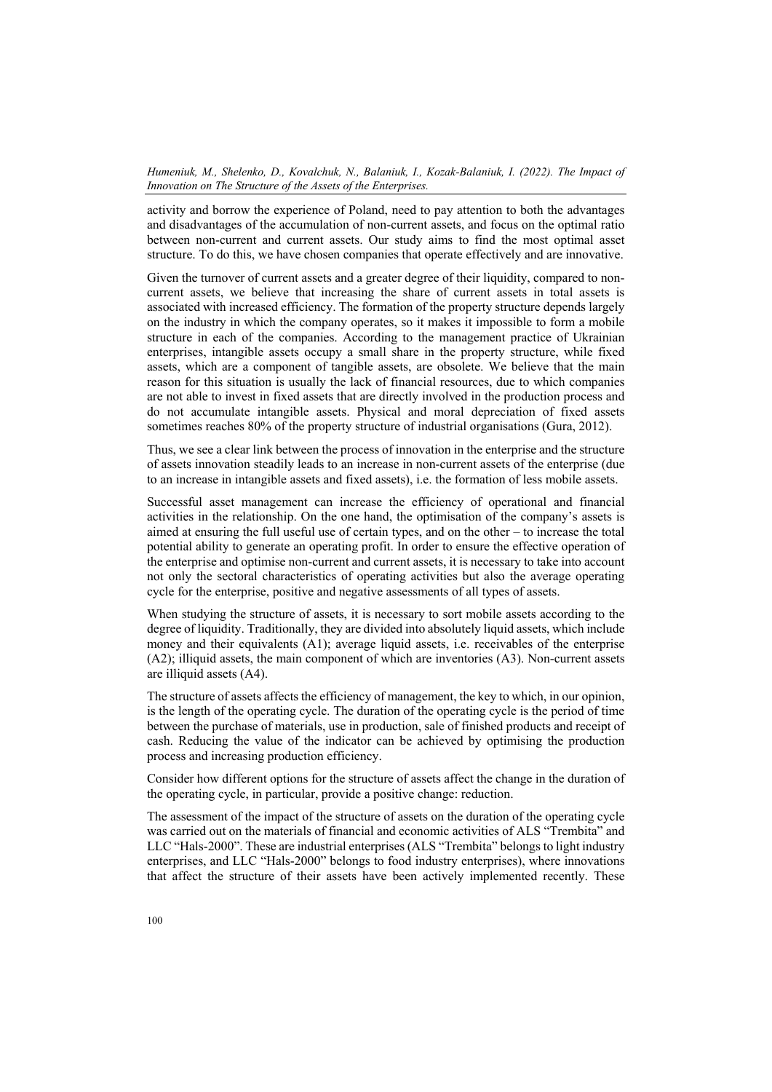activity and borrow the experience of Poland, need to pay attention to both the advantages and disadvantages of the accumulation of non-current assets, and focus on the optimal ratio between non-current and current assets. Our study aims to find the most optimal asset structure. To do this, we have chosen companies that operate effectively and are innovative.

Given the turnover of current assets and a greater degree of their liquidity, compared to noncurrent assets, we believe that increasing the share of current assets in total assets is associated with increased efficiency. The formation of the property structure depends largely on the industry in which the company operates, so it makes it impossible to form a mobile structure in each of the companies. According to the management practice of Ukrainian enterprises, intangible assets occupy a small share in the property structure, while fixed assets, which are a component of tangible assets, are obsolete. We believe that the main reason for this situation is usually the lack of financial resources, due to which companies are not able to invest in fixed assets that are directly involved in the production process and do not accumulate intangible assets. Physical and moral depreciation of fixed assets sometimes reaches 80% of the property structure of industrial organisations (Gura, 2012).

Thus, we see a clear link between the process of innovation in the enterprise and the structure of assets innovation steadily leads to an increase in non-current assets of the enterprise (due to an increase in intangible assets and fixed assets), i.e. the formation of less mobile assets.

Successful asset management can increase the efficiency of operational and financial activities in the relationship. On the one hand, the optimisation of the company's assets is aimed at ensuring the full useful use of certain types, and on the other – to increase the total potential ability to generate an operating profit. In order to ensure the effective operation of the enterprise and optimise non-current and current assets, it is necessary to take into account not only the sectoral characteristics of operating activities but also the average operating cycle for the enterprise, positive and negative assessments of all types of assets.

When studying the structure of assets, it is necessary to sort mobile assets according to the degree of liquidity. Traditionally, they are divided into absolutely liquid assets, which include money and their equivalents (A1); average liquid assets, i.e. receivables of the enterprise (A2); illiquid assets, the main component of which are inventories (A3). Non-current assets are illiquid assets (A4).

The structure of assets affects the efficiency of management, the key to which, in our opinion, is the length of the operating cycle. The duration of the operating cycle is the period of time between the purchase of materials, use in production, sale of finished products and receipt of cash. Reducing the value of the indicator can be achieved by optimising the production process and increasing production efficiency.

Consider how different options for the structure of assets affect the change in the duration of the operating cycle, in particular, provide a positive change: reduction.

The assessment of the impact of the structure of assets on the duration of the operating cycle was carried out on the materials of financial and economic activities of ALS "Trembita" and LLC "Hals-2000". These are industrial enterprises (ALS "Trembita" belongs to light industry enterprises, and LLC "Hals-2000" belongs to food industry enterprises), where innovations that affect the structure of their assets have been actively implemented recently. These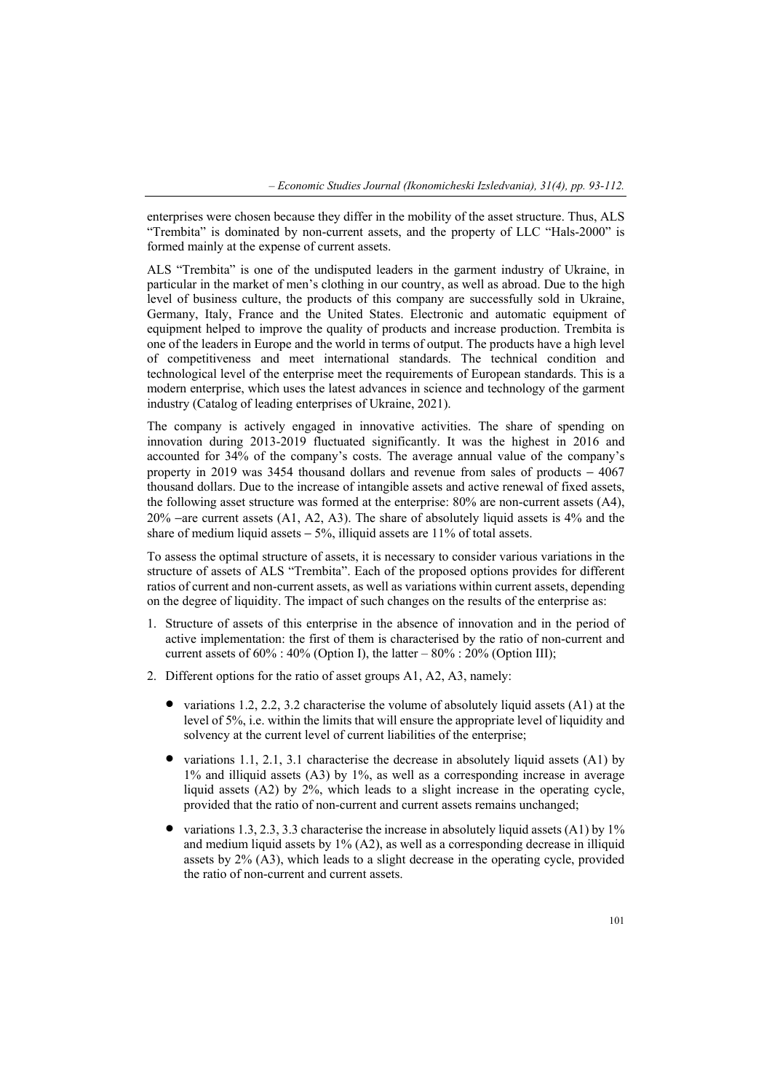enterprises were chosen because they differ in the mobility of the asset structure. Thus, ALS "Trembita" is dominated by non-current assets, and the property of LLC "Hals-2000" is formed mainly at the expense of current assets.

ALS "Trembita" is one of the undisputed leaders in the garment industry of Ukraine, in particular in the market of men's clothing in our country, as well as abroad. Due to the high level of business culture, the products of this company are successfully sold in Ukraine, Germany, Italy, France and the United States. Electronic and automatic equipment of equipment helped to improve the quality of products and increase production. Trembita is one of the leaders in Europe and the world in terms of output. The products have a high level of competitiveness and meet international standards. The technical condition and technological level of the enterprise meet the requirements of European standards. This is a modern enterprise, which uses the latest advances in science and technology of the garment industry (Catalog of leading enterprises of Ukraine, 2021).

The company is actively engaged in innovative activities. The share of spending on innovation during 2013-2019 fluctuated significantly. It was the highest in 2016 and accounted for 34% of the company's costs. The average annual value of the company's property in 2019 was 3454 thousand dollars and revenue from sales of products − 4067 thousand dollars. Due to the increase of intangible assets and active renewal of fixed assets, the following asset structure was formed at the enterprise: 80% are non-current assets (A4), 20% −are current assets (A1, A2, A3). The share of absolutely liquid assets is 4% and the share of medium liquid assets − 5%, illiquid assets are 11% of total assets.

To assess the optimal structure of assets, it is necessary to consider various variations in the structure of assets of ALS "Trembita". Each of the proposed options provides for different ratios of current and non-current assets, as well as variations within current assets, depending on the degree of liquidity. The impact of such changes on the results of the enterprise as:

- 1. Structure of assets of this enterprise in the absence of innovation and in the period of active implementation: the first of them is characterised by the ratio of non-current and current assets of  $60\%$ :  $40\%$  (Option I), the latter –  $80\%$ :  $20\%$  (Option III);
- 2. Different options for the ratio of asset groups A1, A2, A3, namely:
	- variations 1.2, 2.2, 3.2 characterise the volume of absolutely liquid assets (A1) at the level of 5%, i.e. within the limits that will ensure the appropriate level of liquidity and solvency at the current level of current liabilities of the enterprise;
	- variations 1.1, 2.1, 3.1 characterise the decrease in absolutely liquid assets (A1) by 1% and illiquid assets (A3) by 1%, as well as a corresponding increase in average liquid assets (A2) by 2%, which leads to a slight increase in the operating cycle, provided that the ratio of non-current and current assets remains unchanged;
	- variations 1.3, 2.3, 3.3 characterise the increase in absolutely liquid assets (A1) by 1% and medium liquid assets by 1% (A2), as well as a corresponding decrease in illiquid assets by 2% (A3), which leads to a slight decrease in the operating cycle, provided the ratio of non-current and current assets.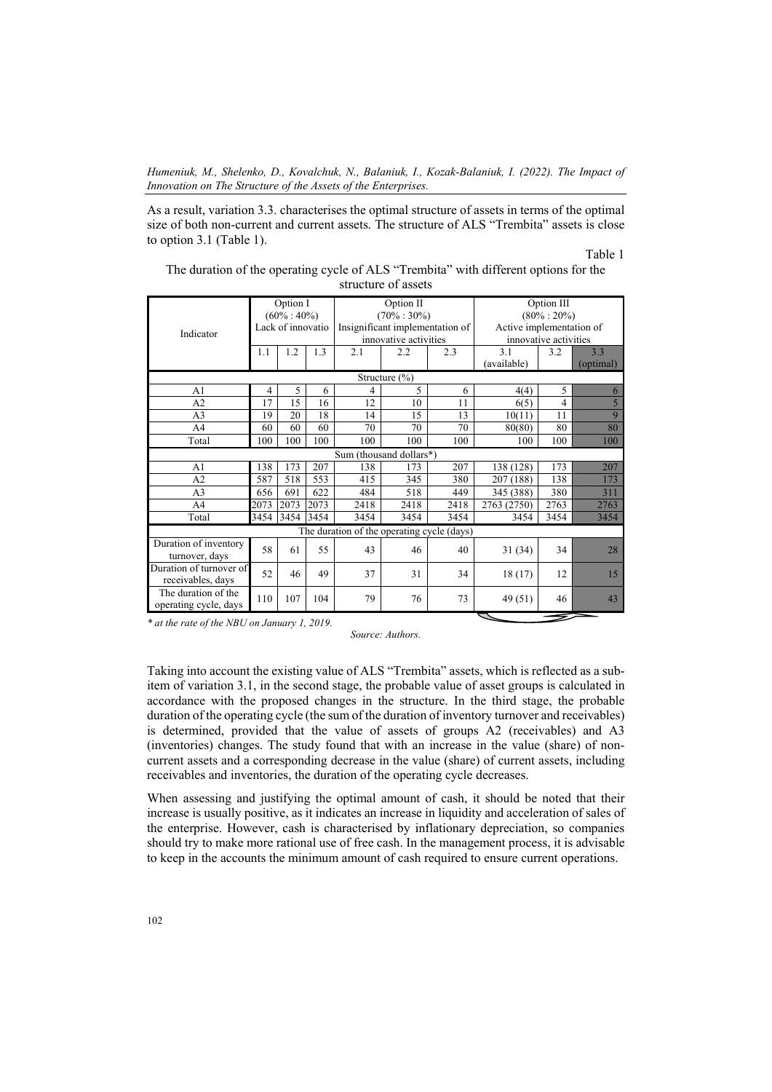As a result, variation 3.3. characterises the optimal structure of assets in terms of the optimal size of both non-current and current assets. The structure of ALS "Trembita" assets is close to option 3.1 (Table 1).

Table 1

| The duration of the operating cycle of ALS "Trembita" with different options for the |
|--------------------------------------------------------------------------------------|
| structure of assets                                                                  |

| Indicator                                    | Option I<br>$(60\% : 40\%)$<br>Lack of innovatio |      |      |                                            | Option II<br>$(70\% : 30\%)$<br>Insignificant implementation of<br>innovative activities |      | Option III<br>$(80\% : 20\%)$<br>Active implementation of<br>innovative activities |      |                  |  |
|----------------------------------------------|--------------------------------------------------|------|------|--------------------------------------------|------------------------------------------------------------------------------------------|------|------------------------------------------------------------------------------------|------|------------------|--|
|                                              | 1.1                                              | 1.2  | 1.3  | 2.1                                        | 2.2                                                                                      | 2.3  | 3.1<br>(available)                                                                 | 3.2  | 3.3<br>(optimal) |  |
| Structure $(\% )$                            |                                                  |      |      |                                            |                                                                                          |      |                                                                                    |      |                  |  |
| A1                                           | 4                                                | 5    | 6    | 4                                          | 5                                                                                        | 6    | 4(4)                                                                               | 5    | 6                |  |
| A2                                           | 17                                               | 15   | 16   | 12                                         | 10                                                                                       | 11   | 6(5)                                                                               | 4    | 5                |  |
| A <sub>3</sub>                               | 19                                               | 20   | 18   | 14                                         | 15                                                                                       | 13   | 10(11)                                                                             | 11   | 9                |  |
| A <sup>4</sup>                               | 60                                               | 60   | 60   | 70                                         | 70                                                                                       | 70   | 80(80)                                                                             | 80   | 80               |  |
| Total                                        | 100                                              | 100  | 100  | 100                                        | 100                                                                                      | 100  | 100                                                                                | 100  | 100              |  |
|                                              |                                                  |      |      | Sum (thousand dollars*)                    |                                                                                          |      |                                                                                    |      |                  |  |
| A <sub>1</sub>                               | 138                                              | 173  | 207  | 138                                        | 173                                                                                      | 207  | 138 (128)                                                                          | 173  | 207              |  |
| A <sub>2</sub>                               | 587                                              | 518  | 553  | 415                                        | 345                                                                                      | 380  | 207 (188)                                                                          | 138  | 173              |  |
| A <sub>3</sub>                               | 656                                              | 691  | 622  | 484                                        | 518                                                                                      | 449  | 345 (388)                                                                          | 380  | 311              |  |
| A4                                           | 2073                                             | 2073 | 2073 | 2418                                       | 2418                                                                                     | 2418 | 2763 (2750)                                                                        | 2763 | 2763             |  |
| Total                                        | 3454                                             | 3454 | 3454 | 3454                                       | 3454                                                                                     | 3454 | 3454                                                                               | 3454 | 3454             |  |
|                                              |                                                  |      |      | The duration of the operating cycle (days) |                                                                                          |      |                                                                                    |      |                  |  |
| Duration of inventory<br>turnover, days      | 58                                               | 61   | 55   | 43                                         | 46                                                                                       | 40   | 31(34)                                                                             | 34   | 28               |  |
| Duration of turnover of<br>receivables, days | 52                                               | 46   | 49   | 37                                         | 31                                                                                       | 34   | 18(17)                                                                             | 12   | 15               |  |
| The duration of the<br>operating cycle, days | 110                                              | 107  | 104  | 79                                         | 76                                                                                       | 73   | 49 (51)                                                                            | 46   | 43               |  |

*\* at the rate of the NBU on January 1, 2019.* 

*Source: Authors.* 

Taking into account the existing value of ALS "Trembita" assets, which is reflected as a subitem of variation 3.1, in the second stage, the probable value of asset groups is calculated in accordance with the proposed changes in the structure. In the third stage, the probable duration of the operating cycle (the sum of the duration of inventory turnover and receivables) is determined, provided that the value of assets of groups A2 (receivables) and A3 (inventories) changes. The study found that with an increase in the value (share) of noncurrent assets and a corresponding decrease in the value (share) of current assets, including receivables and inventories, the duration of the operating cycle decreases.

When assessing and justifying the optimal amount of cash, it should be noted that their increase is usually positive, as it indicates an increase in liquidity and acceleration of sales of the enterprise. However, cash is characterised by inflationary depreciation, so companies should try to make more rational use of free cash. In the management process, it is advisable to keep in the accounts the minimum amount of cash required to ensure current operations.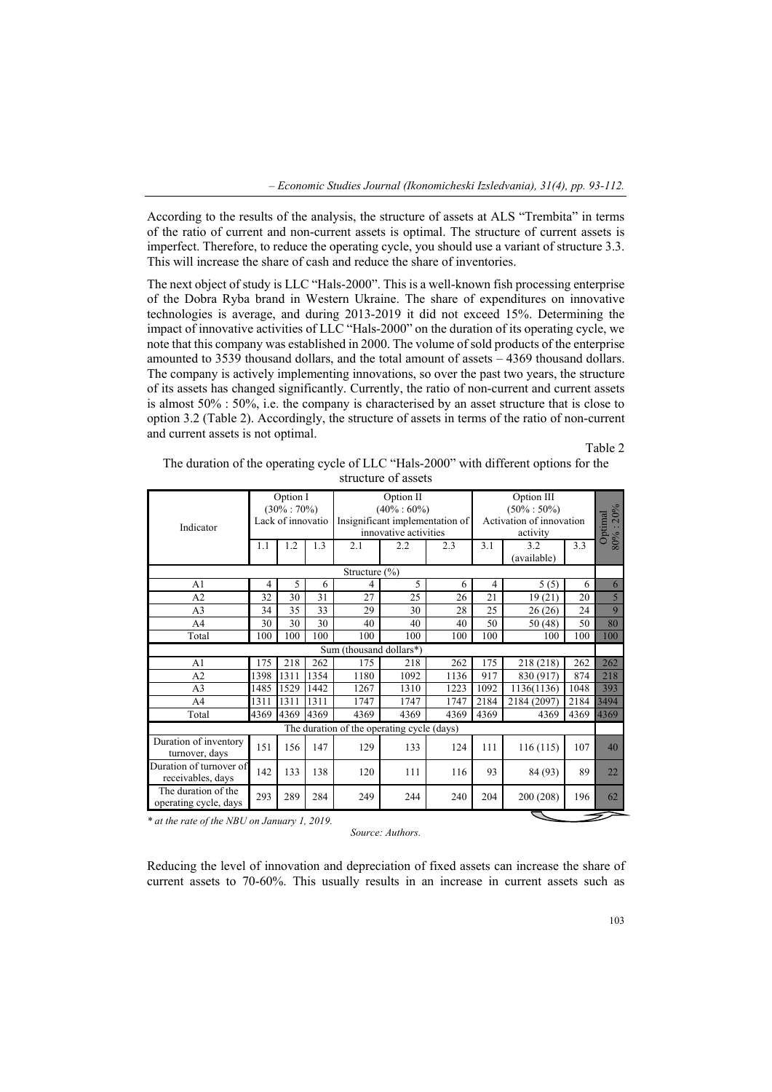According to the results of the analysis, the structure of assets at ALS "Trembita" in terms of the ratio of current and non-current assets is optimal. The structure of current assets is imperfect. Therefore, to reduce the operating cycle, you should use a variant of structure 3.3. This will increase the share of cash and reduce the share of inventories.

The next object of study is LLC "Hals-2000". This is a well-known fish processing enterprise of the Dobra Ryba brand in Western Ukraine. The share of expenditures on innovative technologies is average, and during 2013-2019 it did not exceed 15%. Determining the impact of innovative activities of LLC "Hals-2000" on the duration of its operating cycle, we note that this company was established in 2000. The volume of sold products of the enterprise amounted to 3539 thousand dollars, and the total amount of assets – 4369 thousand dollars. The company is actively implementing innovations, so over the past two years, the structure of its assets has changed significantly. Currently, the ratio of non-current and current assets is almost 50% : 50%, i.e. the company is characterised by an asset structure that is close to option 3.2 (Table 2). Accordingly, the structure of assets in terms of the ratio of non-current and current assets is not optimal.

Table 2

| The duration of the operating cycle of LLC "Hals-2000" with different options for the |
|---------------------------------------------------------------------------------------|
| structure of assets                                                                   |

|                                              | Option I<br>$(30\% : 70\%)$ |      |      |                                            | Option II<br>$(40\% : 60\%)$    |      |                          |                          |      |      |  |
|----------------------------------------------|-----------------------------|------|------|--------------------------------------------|---------------------------------|------|--------------------------|--------------------------|------|------|--|
|                                              | Lack of innovatio           |      |      |                                            | Insignificant implementation of |      | Activation of innovation | $80\% : 20\%$<br>Optimal |      |      |  |
| Indicator                                    |                             |      |      |                                            | innovative activities           |      |                          | activity                 |      |      |  |
|                                              | 1.1                         | 1.2  | 1.3  | 2.1                                        | 2.2                             | 2.3  | 3.1                      | 3.2                      | 3.3  |      |  |
|                                              |                             |      |      |                                            |                                 |      |                          | (available)              |      |      |  |
| Structure $(\% )$                            |                             |      |      |                                            |                                 |      |                          |                          |      |      |  |
| A1                                           | 4                           | 5    | 6    | 4                                          | 5                               | 6    | 4                        | 5(5)                     | 6    | 6    |  |
| A2                                           | 32                          | 30   | 31   | 27                                         | 25                              | 26   | 21                       | 19(21)                   | 20   | 5    |  |
| A <sub>3</sub>                               | 34                          | 35   | 33   | 29                                         | 30                              | 28   | 25                       | 26(26)                   | 24   | 9    |  |
| A4                                           | 30                          | 30   | 30   | 40                                         | 40                              | 40   | 50                       | 50(48)                   | 50   | 80   |  |
| Total                                        | 100                         | 100  | 100  | 100                                        | 100                             | 100  | 100                      | 100                      | 100  | 100  |  |
|                                              |                             |      |      | Sum (thousand dollars*)                    |                                 |      |                          |                          |      |      |  |
| A1                                           | 175                         | 218  | 262  | 175                                        | 218                             | 262  | 175                      | 218 (218)                | 262  | 262  |  |
| A2                                           | 1398                        | 1311 | 1354 | 1180                                       | 1092                            | 1136 | 917                      | 830 (917)                | 874  | 218  |  |
| A <sub>3</sub>                               | 1485                        | 1529 | 1442 | 1267                                       | 1310                            | 1223 | 1092                     | 1136(1136)               | 1048 | 393  |  |
| A4                                           | 1311                        | 1311 | 1311 | 1747                                       | 1747                            | 1747 | 2184                     | 2184 (2097)              | 2184 | 3494 |  |
| Total                                        | 4369                        | 4369 | 4369 | 4369                                       | 4369                            | 4369 | 4369                     | 4369                     | 4369 | 4369 |  |
|                                              |                             |      |      | The duration of the operating cycle (days) |                                 |      |                          |                          |      |      |  |
| Duration of inventory                        | 151                         | 156  | 147  | 129                                        | 133                             | 124  | 111                      | 116(115)                 | 107  | 40   |  |
| turnover, days                               |                             |      |      |                                            |                                 |      |                          |                          |      |      |  |
| Duration of turnover of<br>receivables, days | 142                         | 133  | 138  | 120                                        | 111                             | 116  | 93                       | 84 (93)                  | 89   | 22   |  |
| The duration of the<br>operating cycle, days | 293                         | 289  | 284  | 249                                        | 244                             | 240  | 204                      | 200 (208)                | 196  | 62   |  |
|                                              |                             |      |      |                                            |                                 |      |                          |                          |      |      |  |

*\* at the rate of the NBU on January 1, 2019.* 

*Source: Authors.* 

Reducing the level of innovation and depreciation of fixed assets can increase the share of current assets to 70-60%. This usually results in an increase in current assets such as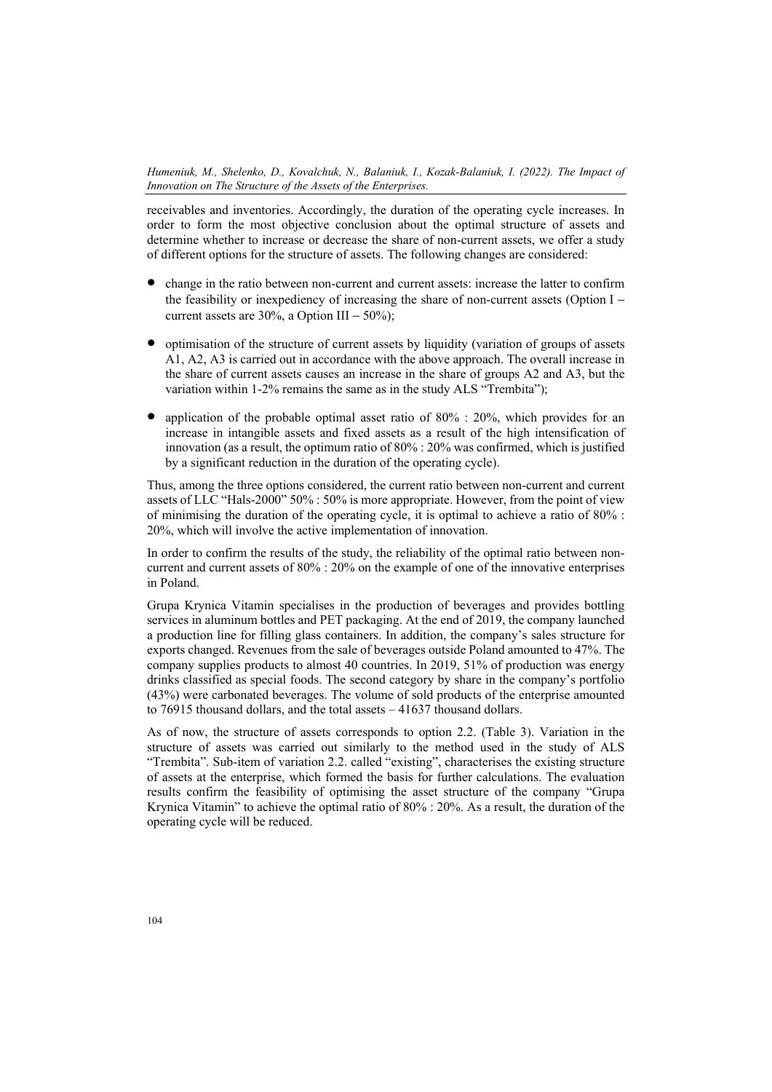receivables and inventories. Accordingly, the duration of the operating cycle increases. In order to form the most objective conclusion about the optimal structure of assets and determine whether to increase or decrease the share of non-current assets, we offer a study of different options for the structure of assets. The following changes are considered:

- change in the ratio between non-current and current assets: increase the latter to confirm the feasibility or inexpediency of increasing the share of non-current assets (Option I − current assets are 30%, a Option III –  $50\%$ );
- optimisation of the structure of current assets by liquidity (variation of groups of assets A1, A2, A3 is carried out in accordance with the above approach. The overall increase in the share of current assets causes an increase in the share of groups A2 and A3, but the variation within 1-2% remains the same as in the study ALS "Trembita");
- application of the probable optimal asset ratio of 80% : 20%, which provides for an increase in intangible assets and fixed assets as a result of the high intensification of innovation (as a result, the optimum ratio of 80% : 20% was confirmed, which is justified by a significant reduction in the duration of the operating cycle).

Thus, among the three options considered, the current ratio between non-current and current assets of LLC "Hals-2000" 50% : 50% is more appropriate. However, from the point of view of minimising the duration of the operating cycle, it is optimal to achieve a ratio of 80% : 20%, which will involve the active implementation of innovation.

In order to confirm the results of the study, the reliability of the optimal ratio between noncurrent and current assets of 80% : 20% on the example of one of the innovative enterprises in Poland.

Grupa Krynica Vitamin specialises in the production of beverages and provides bottling services in aluminum bottles and PET packaging. At the end of 2019, the company launched a production line for filling glass containers. In addition, the company's sales structure for exports changed. Revenues from the sale of beverages outside Poland amounted to 47%. The company supplies products to almost 40 countries. In 2019, 51% of production was energy drinks classified as special foods. The second category by share in the company's portfolio (43%) were carbonated beverages. The volume of sold products of the enterprise amounted to 76915 thousand dollars, and the total assets – 41637 thousand dollars.

As of now, the structure of assets corresponds to option 2.2. (Table 3). Variation in the structure of assets was carried out similarly to the method used in the study of ALS "Trembita". Sub-item of variation 2.2. called "existing", characterises the existing structure of assets at the enterprise, which formed the basis for further calculations. The evaluation results confirm the feasibility of optimising the asset structure of the company "Grupa Krynica Vitamin" to achieve the optimal ratio of 80% : 20%. As a result, the duration of the operating cycle will be reduced.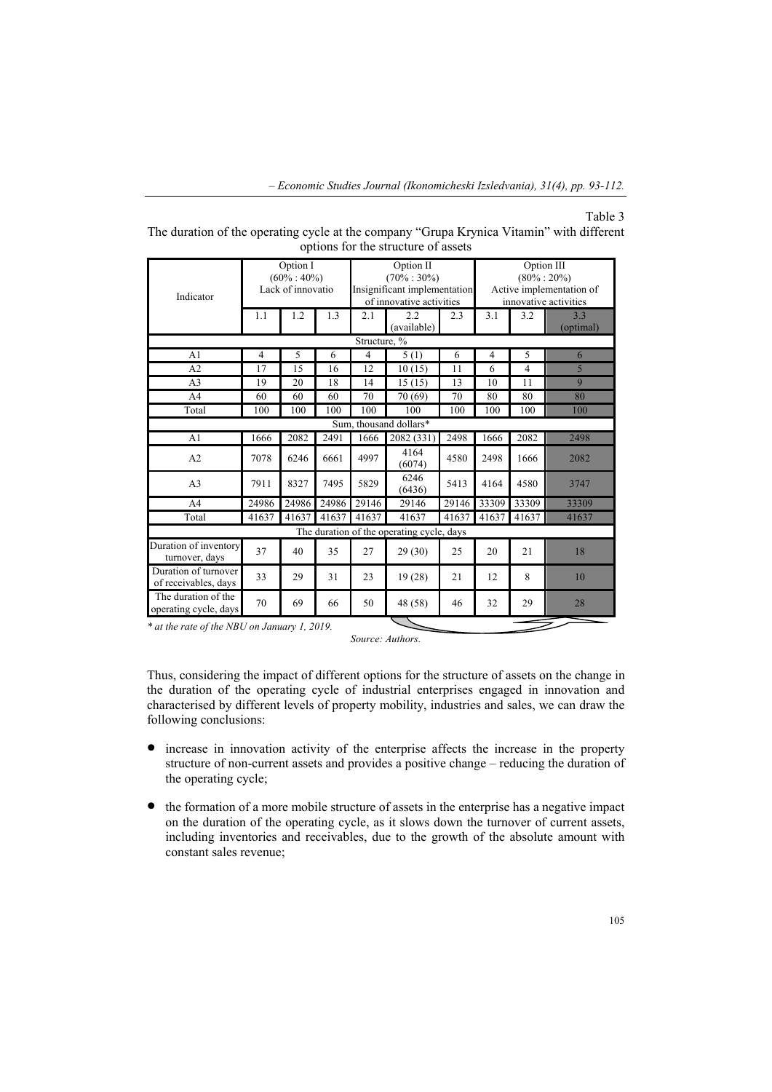#### Table 3

| options for the structure of assets          |                |                                                                |       |       |                                                                                          |       |                                                                                    |                |                  |  |
|----------------------------------------------|----------------|----------------------------------------------------------------|-------|-------|------------------------------------------------------------------------------------------|-------|------------------------------------------------------------------------------------|----------------|------------------|--|
| Indicator                                    |                | $\overline{O}$ ption I<br>$(60\% : 40\%)$<br>Lack of innovatio |       |       | Option II<br>$(70\% : 30\%)$<br>Insignificant implementation<br>of innovative activities |       | Option III<br>$(80\% : 20\%)$<br>Active implementation of<br>innovative activities |                |                  |  |
|                                              | 1.1            | 1.2                                                            | 1.3   | 2.1   | 2.2<br>(available)                                                                       | 2.3   | 3.1                                                                                | 3.2            | 3.3<br>(optimal) |  |
| Structure, %                                 |                |                                                                |       |       |                                                                                          |       |                                                                                    |                |                  |  |
| A <sub>1</sub>                               | $\overline{4}$ | 5                                                              | 6     | 4     | 5(1)                                                                                     | 6     | 4                                                                                  | 5              | 6                |  |
| A <sub>2</sub>                               | 17             | 15                                                             | 16    | 12    | 10(15)                                                                                   | 11    | 6                                                                                  | $\overline{4}$ | 5                |  |
| A <sub>3</sub>                               | 19             | 20                                                             | 18    | 14    | 15(15)                                                                                   | 13    | 10                                                                                 | 11             | $\mathbf Q$      |  |
| A <sub>4</sub>                               | 60             | 60                                                             | 60    | 70    | 70 (69)                                                                                  | 70    | 80                                                                                 | 80             | 80               |  |
| Total                                        | 100            | 100                                                            | 100   | 100   | 100                                                                                      | 100   | 100                                                                                | 100            | 100              |  |
|                                              |                |                                                                |       |       | Sum, thousand dollars*                                                                   |       |                                                                                    |                |                  |  |
| A <sub>1</sub>                               | 1666           | 2082                                                           | 2491  | 1666  | 2082(331)                                                                                | 2498  | 1666                                                                               | 2082           | 2498             |  |
| A <sub>2</sub>                               | 7078           | 6246                                                           | 6661  | 4997  | 4164<br>(6074)                                                                           | 4580  | 2498                                                                               | 1666           | 2082             |  |
| A <sub>3</sub>                               | 7911           | 8327                                                           | 7495  | 5829  | 6246<br>(6436)                                                                           | 5413  | 4164                                                                               | 4580           | 3747             |  |
| A <sub>4</sub>                               | 24986          | 24986                                                          | 24986 | 29146 | 29146                                                                                    | 29146 | 33309                                                                              | 33309          | 33309            |  |
| Total                                        | 41637          | 41637                                                          | 41637 | 41637 | 41637                                                                                    | 41637 | 41637                                                                              | 41637          | 41637            |  |
| The duration of the operating cycle, days    |                |                                                                |       |       |                                                                                          |       |                                                                                    |                |                  |  |
| Duration of inventory<br>turnover, days      | 37             | 40                                                             | 35    | 27    | 29(30)                                                                                   | 25    | 20                                                                                 | 21             | 18               |  |
| Duration of turnover<br>of receivables, days | 33             | 29                                                             | 31    | 23    | 19(28)                                                                                   | 21    | 12                                                                                 | 8              | 10               |  |
| The duration of the<br>operating cycle, days | 70             | 69                                                             | 66    | 50    | 48 (58)                                                                                  | 46    | 32                                                                                 | 29             | 28               |  |

The duration of the operating cycle at the company "Grupa Krynica Vitamin" with different options for the structure of assets

*\* at the rate of the NBU on January 1, 2019.* 

*Source: Authors.* 

Thus, considering the impact of different options for the structure of assets on the change in the duration of the operating cycle of industrial enterprises engaged in innovation and characterised by different levels of property mobility, industries and sales, we can draw the following conclusions:

- increase in innovation activity of the enterprise affects the increase in the property structure of non-current assets and provides a positive change – reducing the duration of the operating cycle;
- the formation of a more mobile structure of assets in the enterprise has a negative impact on the duration of the operating cycle, as it slows down the turnover of current assets, including inventories and receivables, due to the growth of the absolute amount with constant sales revenue;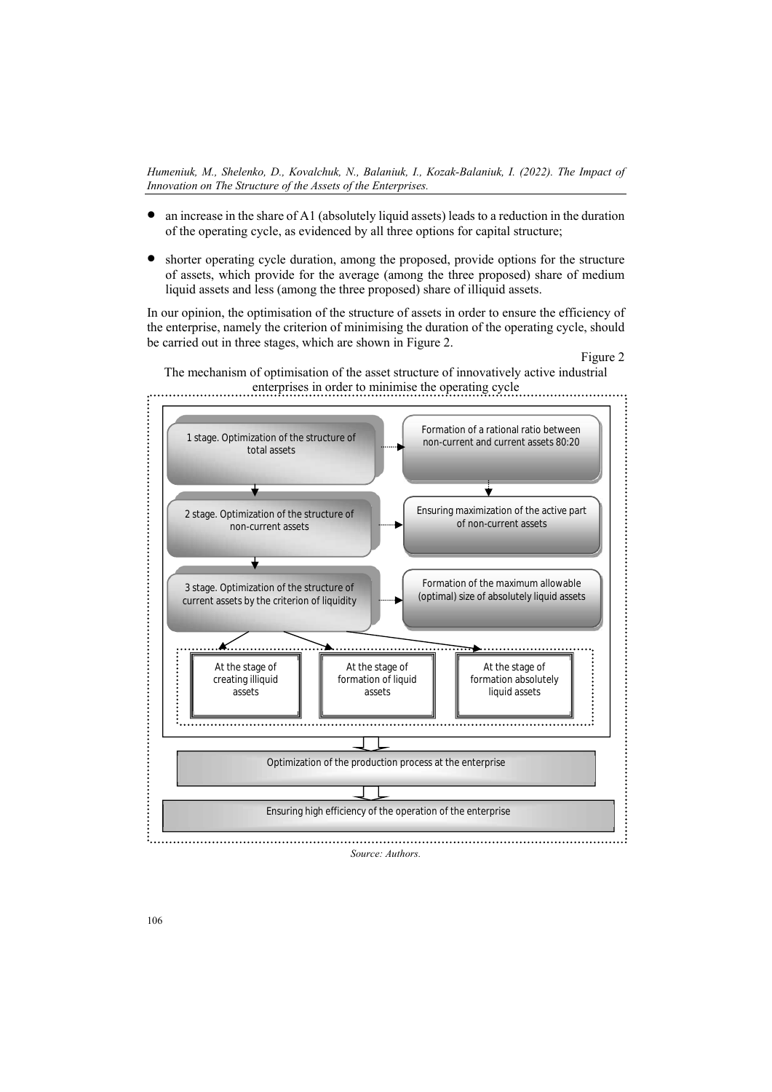- an increase in the share of A1 (absolutely liquid assets) leads to a reduction in the duration of the operating cycle, as evidenced by all three options for capital structure;
- shorter operating cycle duration, among the proposed, provide options for the structure of assets, which provide for the average (among the three proposed) share of medium liquid assets and less (among the three proposed) share of illiquid assets.

In our opinion, the optimisation of the structure of assets in order to ensure the efficiency of the enterprise, namely the criterion of minimising the duration of the operating cycle, should be carried out in three stages, which are shown in Figure 2.

#### Figure 2



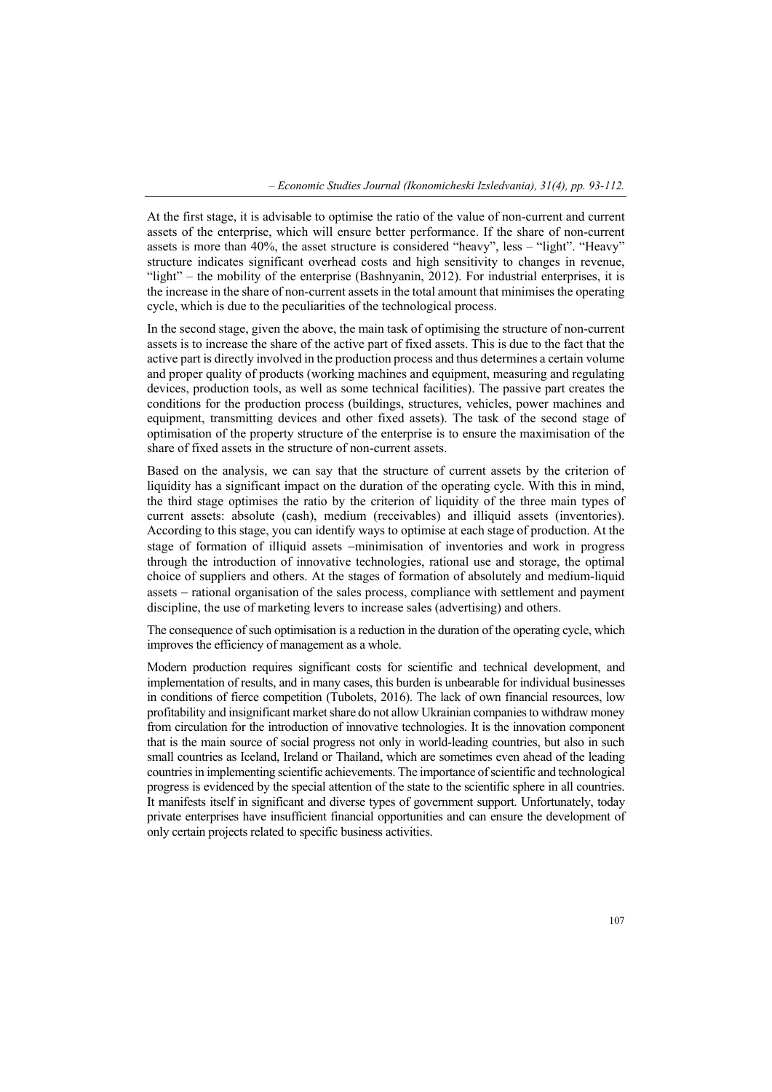At the first stage, it is advisable to optimise the ratio of the value of non-current and current assets of the enterprise, which will ensure better performance. If the share of non-current assets is more than 40%, the asset structure is considered "heavy", less – "light". "Heavy" structure indicates significant overhead costs and high sensitivity to changes in revenue, "light" – the mobility of the enterprise (Bashnyanin, 2012). For industrial enterprises, it is the increase in the share of non-current assets in the total amount that minimises the operating cycle, which is due to the peculiarities of the technological process.

In the second stage, given the above, the main task of optimising the structure of non-current assets is to increase the share of the active part of fixed assets. This is due to the fact that the active part is directly involved in the production process and thus determines a certain volume and proper quality of products (working machines and equipment, measuring and regulating devices, production tools, as well as some technical facilities). The passive part creates the conditions for the production process (buildings, structures, vehicles, power machines and equipment, transmitting devices and other fixed assets). The task of the second stage of optimisation of the property structure of the enterprise is to ensure the maximisation of the share of fixed assets in the structure of non-current assets.

Based on the analysis, we can say that the structure of current assets by the criterion of liquidity has a significant impact on the duration of the operating cycle. With this in mind, the third stage optimises the ratio by the criterion of liquidity of the three main types of current assets: absolute (cash), medium (receivables) and illiquid assets (inventories). According to this stage, you can identify ways to optimise at each stage of production. At the stage of formation of illiquid assets −minimisation of inventories and work in progress through the introduction of innovative technologies, rational use and storage, the optimal choice of suppliers and others. At the stages of formation of absolutely and medium-liquid assets − rational organisation of the sales process, compliance with settlement and payment discipline, the use of marketing levers to increase sales (advertising) and others.

The consequence of such optimisation is a reduction in the duration of the operating cycle, which improves the efficiency of management as a whole.

Modern production requires significant costs for scientific and technical development, and implementation of results, and in many cases, this burden is unbearable for individual businesses in conditions of fierce competition (Tubolets, 2016). The lack of own financial resources, low profitability and insignificant market share do not allow Ukrainian companies to withdraw money from circulation for the introduction of innovative technologies. It is the innovation component that is the main source of social progress not only in world-leading countries, but also in such small countries as Iceland, Ireland or Thailand, which are sometimes even ahead of the leading countries in implementing scientific achievements. The importance of scientific and technological progress is evidenced by the special attention of the state to the scientific sphere in all countries. It manifests itself in significant and diverse types of government support. Unfortunately, today private enterprises have insufficient financial opportunities and can ensure the development of only certain projects related to specific business activities.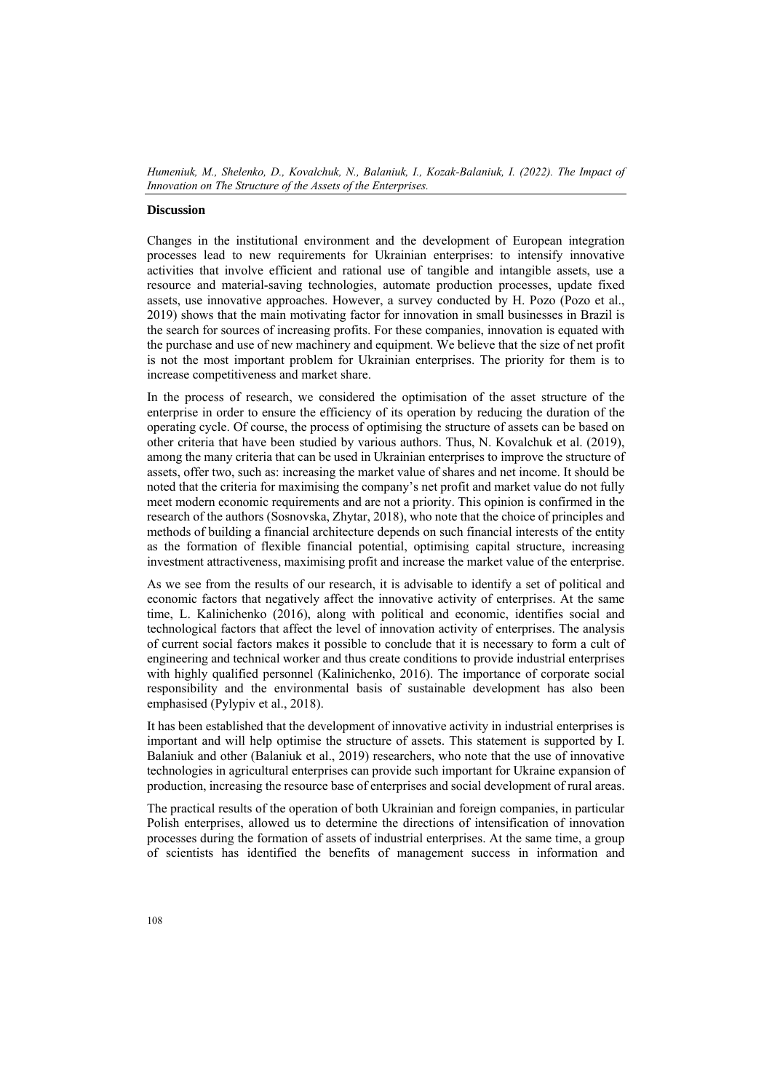## **Discussion**

Changes in the institutional environment and the development of European integration processes lead to new requirements for Ukrainian enterprises: to intensify innovative activities that involve efficient and rational use of tangible and intangible assets, use a resource and material-saving technologies, automate production processes, update fixed assets, use innovative approaches. However, a survey conducted by H. Pozo (Pozo et al., 2019) shows that the main motivating factor for innovation in small businesses in Brazil is the search for sources of increasing profits. For these companies, innovation is equated with the purchase and use of new machinery and equipment. We believe that the size of net profit is not the most important problem for Ukrainian enterprises. The priority for them is to increase competitiveness and market share.

In the process of research, we considered the optimisation of the asset structure of the enterprise in order to ensure the efficiency of its operation by reducing the duration of the operating cycle. Of course, the process of optimising the structure of assets can be based on other criteria that have been studied by various authors. Thus, N. Kovalchuk et al. (2019), among the many criteria that can be used in Ukrainian enterprises to improve the structure of assets, offer two, such as: increasing the market value of shares and net income. It should be noted that the criteria for maximising the company's net profit and market value do not fully meet modern economic requirements and are not a priority. This opinion is confirmed in the research of the authors (Sosnovska, Zhytar, 2018), who note that the choice of principles and methods of building a financial architecture depends on such financial interests of the entity as the formation of flexible financial potential, optimising capital structure, increasing investment attractiveness, maximising profit and increase the market value of the enterprise.

As we see from the results of our research, it is advisable to identify a set of political and economic factors that negatively affect the innovative activity of enterprises. At the same time, L. Kalinichenko (2016), along with political and economic, identifies social and technological factors that affect the level of innovation activity of enterprises. The analysis of current social factors makes it possible to conclude that it is necessary to form a cult of engineering and technical worker and thus create conditions to provide industrial enterprises with highly qualified personnel (Kalinichenko, 2016). The importance of corporate social responsibility and the environmental basis of sustainable development has also been emphasised (Pylypiv et al., 2018).

It has been established that the development of innovative activity in industrial enterprises is important and will help optimise the structure of assets. This statement is supported by I. Balaniuk and other (Balaniuk et al., 2019) researchers, who note that the use of innovative technologies in agricultural enterprises can provide such important for Ukraine expansion of production, increasing the resource base of enterprises and social development of rural areas.

The practical results of the operation of both Ukrainian and foreign companies, in particular Polish enterprises, allowed us to determine the directions of intensification of innovation processes during the formation of assets of industrial enterprises. At the same time, a group of scientists has identified the benefits of management success in information and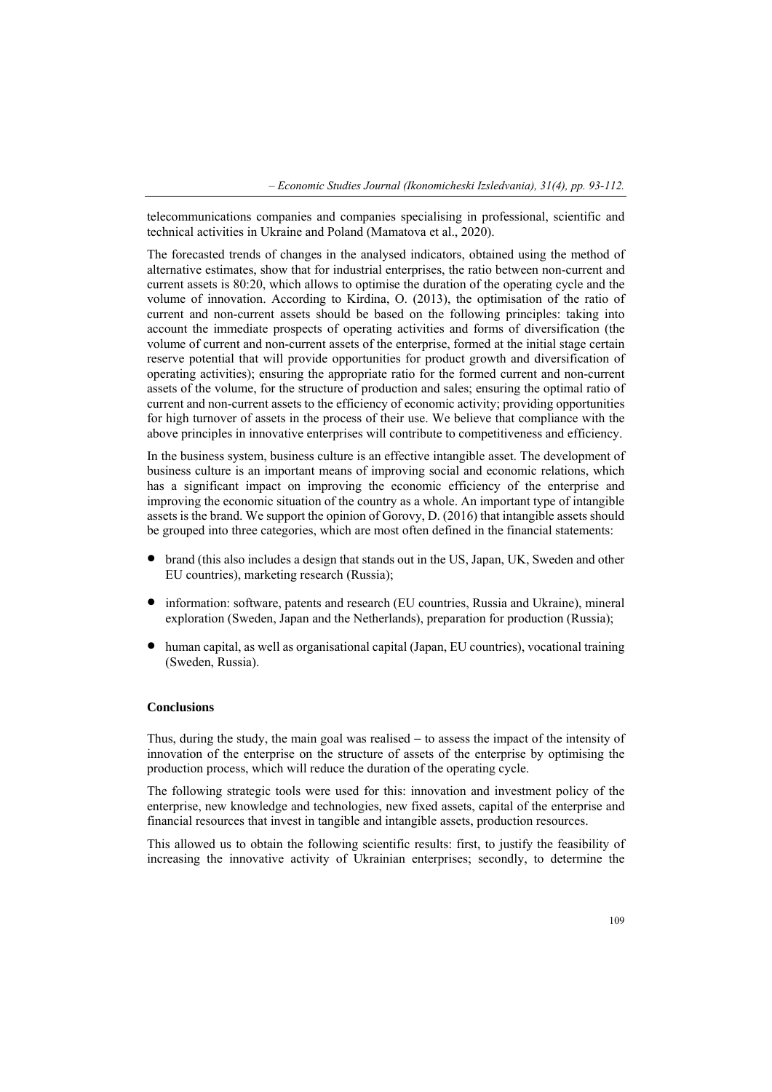telecommunications companies and companies specialising in professional, scientific and technical activities in Ukraine and Poland (Mamatova et al., 2020).

The forecasted trends of changes in the analysed indicators, obtained using the method of alternative estimates, show that for industrial enterprises, the ratio between non-current and current assets is 80:20, which allows to optimise the duration of the operating cycle and the volume of innovation. According to Kirdina, O. (2013), the optimisation of the ratio of current and non-current assets should be based on the following principles: taking into account the immediate prospects of operating activities and forms of diversification (the volume of current and non-current assets of the enterprise, formed at the initial stage certain reserve potential that will provide opportunities for product growth and diversification of operating activities); ensuring the appropriate ratio for the formed current and non-current assets of the volume, for the structure of production and sales; ensuring the optimal ratio of current and non-current assets to the efficiency of economic activity; providing opportunities for high turnover of assets in the process of their use. We believe that compliance with the above principles in innovative enterprises will contribute to competitiveness and efficiency.

In the business system, business culture is an effective intangible asset. The development of business culture is an important means of improving social and economic relations, which has a significant impact on improving the economic efficiency of the enterprise and improving the economic situation of the country as a whole. An important type of intangible assets is the brand. We support the opinion of Gorovy, D. (2016) that intangible assets should be grouped into three categories, which are most often defined in the financial statements:

- brand (this also includes a design that stands out in the US, Japan, UK, Sweden and other EU countries), marketing research (Russia);
- information: software, patents and research (EU countries, Russia and Ukraine), mineral exploration (Sweden, Japan and the Netherlands), preparation for production (Russia);
- human capital, as well as organisational capital (Japan, EU countries), vocational training (Sweden, Russia).

# **Conclusions**

Thus, during the study, the main goal was realised − to assess the impact of the intensity of innovation of the enterprise on the structure of assets of the enterprise by optimising the production process, which will reduce the duration of the operating cycle.

The following strategic tools were used for this: innovation and investment policy of the enterprise, new knowledge and technologies, new fixed assets, capital of the enterprise and financial resources that invest in tangible and intangible assets, production resources.

This allowed us to obtain the following scientific results: first, to justify the feasibility of increasing the innovative activity of Ukrainian enterprises; secondly, to determine the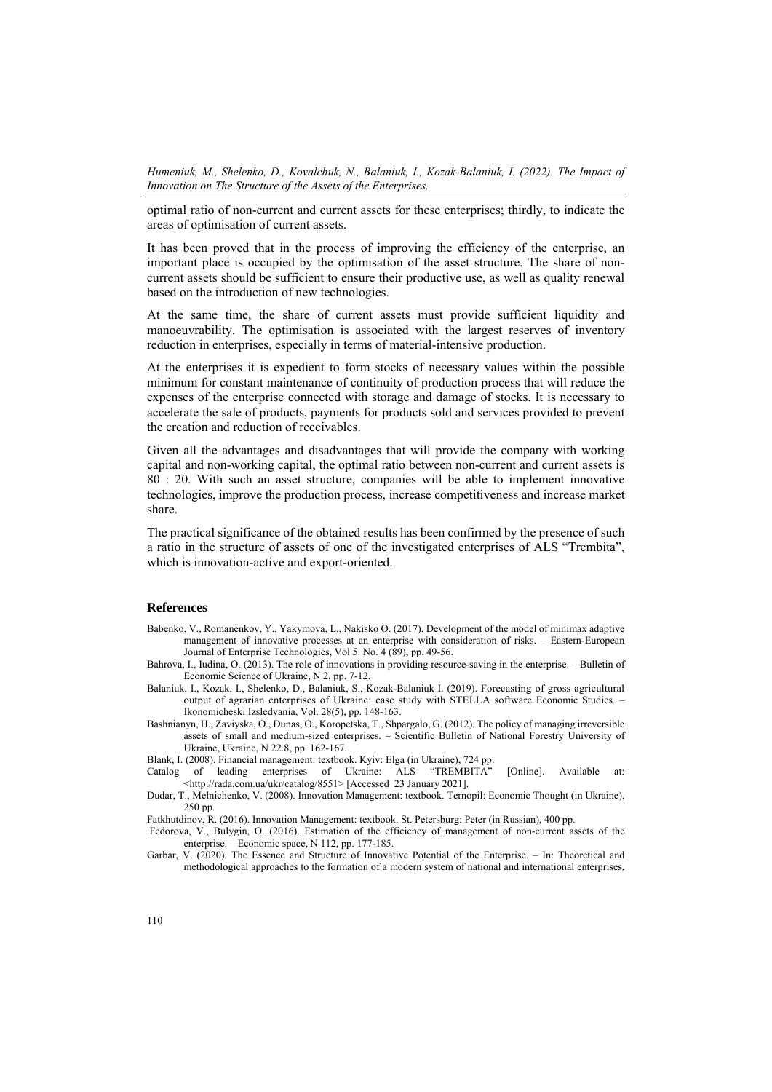optimal ratio of non-current and current assets for these enterprises; thirdly, to indicate the areas of optimisation of current assets.

It has been proved that in the process of improving the efficiency of the enterprise, an important place is occupied by the optimisation of the asset structure. The share of noncurrent assets should be sufficient to ensure their productive use, as well as quality renewal based on the introduction of new technologies.

At the same time, the share of current assets must provide sufficient liquidity and manoeuvrability. The optimisation is associated with the largest reserves of inventory reduction in enterprises, especially in terms of material-intensive production.

At the enterprises it is expedient to form stocks of necessary values within the possible minimum for constant maintenance of continuity of production process that will reduce the expenses of the enterprise connected with storage and damage of stocks. It is necessary to accelerate the sale of products, payments for products sold and services provided to prevent the creation and reduction of receivables.

Given all the advantages and disadvantages that will provide the company with working capital and non-working capital, the optimal ratio between non-current and current assets is 80 : 20. With such an asset structure, companies will be able to implement innovative technologies, improve the production process, increase competitiveness and increase market share.

The practical significance of the obtained results has been confirmed by the presence of such a ratio in the structure of assets of one of the investigated enterprises of ALS "Trembita", which is innovation-active and export-oriented.

#### **References**

- Babenko, V., Romanenkov, Y., Yakymova, L., Nakisko O. (2017). Development of the model of minimax adaptive management of innovative processes at an enterprise with consideration of risks. – Eastern-European Journal of Enterprise Technologies, Vol 5. No. 4 (89), pp. 49-56.
- Bahrova, І., Iudina, O. (2013). The role of innovations in providing resource-saving in the enterprise. Bulletin of Economic Science of Ukraine, N 2, pp. 7-12.
- Balaniuk, I., Kozak, I., Shelenko, D., Balaniuk, S., Kozak-Balaniuk I. (2019). Forecasting of gross agricultural output of agrarian enterprises of Ukraine: case study with STELLA software Economic Studies. – Ikonomicheski Izsledvania, Vol. 28(5), pp. 148-163.
- Bashnianyn, H., Zaviyska, O., Dunas, O., Koropetska, T., Shpargalo, G. (2012). The policy of managing irreversible assets of small and medium-sized enterprises. – Scientific Bulletin of National Forestry University of Ukraine, Ukraine, N 22.8, pp. 162-167.
- Blank, I. (2008). Financial management: textbook. Kyiv: Elga (in Ukraine), 724 pp.

Catalog of leading enterprises of Ukraine: ALS "TREMBITA" [Online]. Available at: <http://rada.com.ua/ukr/catalog/8551> [Accessed 23 January 2021].

- Dudar, T., Melnichenko, V. (2008). Innovation Management: textbook. Ternopil: Economic Thought (in Ukraine), 250 pp.
- Fatkhutdinov, R. (2016). Innovation Management: textbook. St. Petersburg: Peter (in Russian), 400 pp.
- Fedorova, V., Bulygin, O. (2016). Estimation of the efficiency of management of non-current assets of the enterprise. – Economic space, N 112, pp. 177-185.
- Garbar, V. (2020). The Essence and Structure of Innovative Potential of the Enterprise. In: Theoretical and methodological approaches to the formation of a modern system of national and international enterprises,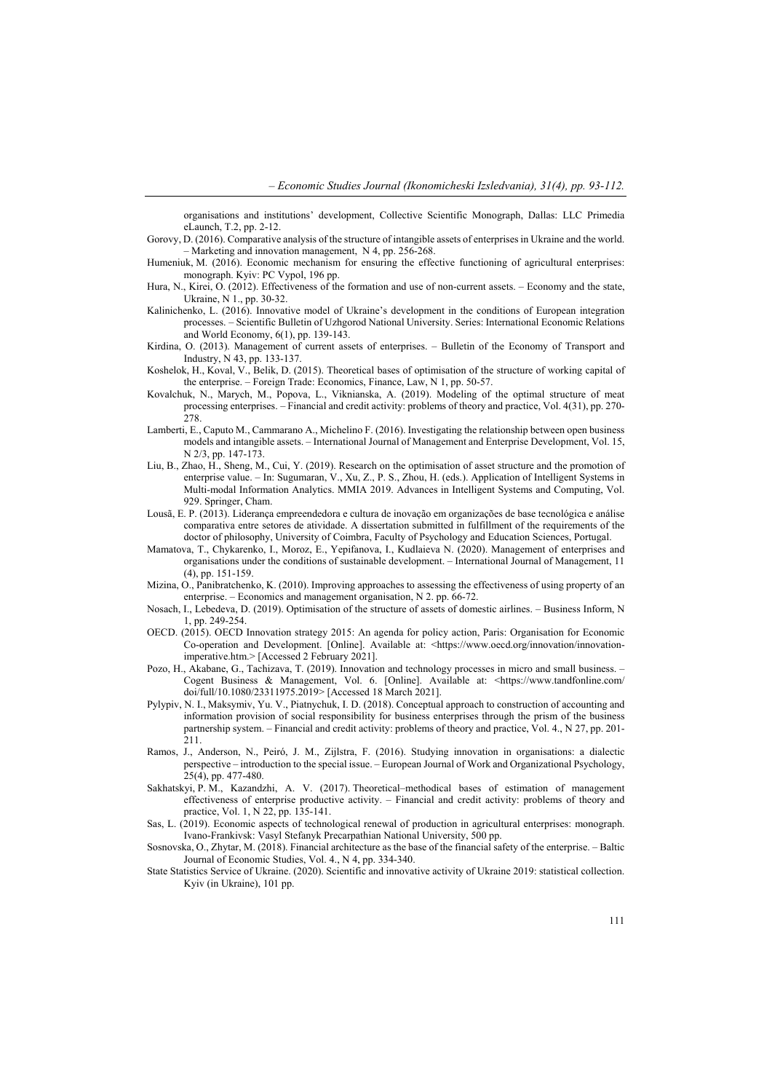organisations and institutions' development, Collective Scientific Monograph, Dallas: LLC Primedia eLaunch, Т.2, pp. 2-12.

- Gorovy, D. (2016). Comparative analysis of the structure of intangible assets of enterprises in Ukraine and the world. – Marketing and innovation management, N 4, pp. 256-268.
- Humeniuk, M. (2016). Economic mechanism for ensuring the effective functioning of agricultural enterprises: monograph. Kyiv: PC Vypol, 196 pp.
- Hura, N., Kirei, O. (2012). Effectiveness of the formation and use of non-current assets. Economy and the state, Ukraine, N 1., pp. 30-32.
- Kalinichenko, L. (2016). Innovative model of Ukraine's development in the conditions of European integration processes. – Scientific Bulletin of Uzhgorod National University. Series: International Economic Relations and World Economy, 6(1), pp. 139-143.
- Kirdina, O. (2013). Management of current assets of enterprises. Bulletin of the Economy of Transport and Industry, N 43, pp. 133-137.
- Koshelok, H., Koval, V., Belik, D. (2015). Theoretical bases of optimisation of the structure of working capital of the enterprise. – Foreign Trade: Economics, Finance, Law, N 1, pp. 50-57.
- Kovalchuk, N., Marych, M., Popova, L., Viknianska, A. (2019). Modeling of the optimal structure of meat processing enterprises. – Financial and credit activity: problems of theory and practice, Vol. 4(31), pp. 270- 278.
- Lamberti, E., Caputo М., Cammarano А., Michelino F. (2016). Investigating the relationship between open business models and intangible assets. – International Journal of Management and Enterprise Development, Vol. 15, N 2/3, pp. 147-173.
- Liu, B., Zhao, H., Sheng, M., Cui, Y. (2019). Research on the optimisation of asset structure and the promotion of enterprise value. – In: Sugumaran, V., Xu, Z., P. S., Zhou, H. (eds.). Application of Intelligent Systems in Multi-modal Information Analytics. MMIA 2019. Advances in Intelligent Systems and Computing, Vol. 929. Springer, Cham.
- Lousã, E. P. (2013). Liderança empreendedora e cultura de inovação em organizações de base tecnológica e análise comparativa entre setores de atividade. A dissertation submitted in fulfillment of the requirements of the doctor of philosophy, University of Coimbra, Faculty of Psychology and Education Sciences, Portugal.
- Mamatova, T., Chykarenko, I., Moroz, E., Yepifanova, I., Kudlaieva N. (2020). Management of enterprises and organisations under the conditions of sustainable development. – International Journal of Management, 11 (4), pp. 151-159.
- Mizina, O., Panibratchenko, K. (2010). Improving approaches to assessing the effectiveness of using property of an enterprise. – Economics and management organisation, N 2. pp. 66-72.
- Nosach, I., Lebedeva, D. (2019). Optimisation of the structure of assets of domestic airlines. Business Inform, N 1, pp. 249-254.
- OECD. (2015). OECD Innovation strategy 2015: An agenda for policy action, Paris: Organisation for Economic Co-operation and Development. [Online]. Available at: <https://www.oecd.org/innovation/innovationimperative.htm.> [Accessed 2 February 2021].
- Pozo, H., Akabane, G., Tachizava, T. (2019). Innovation and technology processes in micro and small business. Cogent Business & Management, Vol. 6. [Online]. Available at: <https://www.tandfonline.com/ doi/full/10.1080/23311975.2019> [Accessed 18 March 2021].
- Pylypiv, N. I., Maksymiv, Yu. V., Piatnychuk, I. D. (2018). Conceptual approach to construction of accounting and information provision of social responsibility for business enterprises through the prism of the business partnership system. – Financial and credit activity: problems of theory and practice, Vol. 4., N 27, pp. 201- 211.
- Ramos, J., Anderson, N., Peiró, J. M., Zijlstra, F. (2016). Studying innovation in organisations: a dialectic perspective – introduction to the special issue. – European Journal of Work and Organizational Psychology, 25(4), pp. 477-480.
- Sakhatskyi, P. M., Kazandzhi, A. V. (2017). Theoretical–methodical bases of estimation of management effectiveness of enterprise productive activity. – Financial and credit activity: problems of theory and practice, Vol. 1, N 22, pp. 135-141.
- Sas, L. (2019). Economic aspects of technological renewal of production in agricultural enterprises: monograph. Ivano-Frankivsk: Vasyl Stefanyk Precarpathian National University, 500 pp.
- Sosnovska, O., Zhytar, M. (2018). Financial architecture as the base of the financial safety of the enterprise. Baltic Journal of Economic Studies, Vol. 4., N 4, pp. 334-340.
- State Statistics Service of Ukraine. (2020). Scientific and innovative activity of Ukraine 2019: statistical collection. Kyiv (in Ukraine), 101 pp.